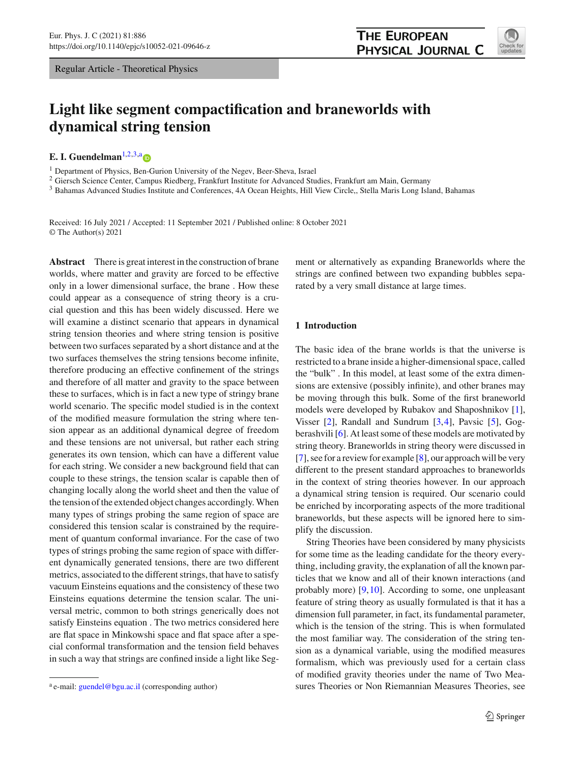Regular Article - Theoretical Physics

# **Light like segment compactification and braneworlds with dynamical string tension**

**E. I. Guendelm[a](http://orcid.org/0000-0003-1044-8055)n**<sup>[1,2](#page-0-0)[,3,](#page-0-1)a</sup> $\bullet$ 

<sup>1</sup> Department of Physics, Ben-Gurion University of the Negev, Beer-Sheva, Israel

<sup>2</sup> Giersch Science Center, Campus Riedberg, Frankfurt Institute for Advanced Studies, Frankfurt am Main, Germany

<sup>3</sup> Bahamas Advanced Studies Institute and Conferences, 4A Ocean Heights, Hill View Circle,, Stella Maris Long Island, Bahamas

Received: 16 July 2021 / Accepted: 11 September 2021 / Published online: 8 October 2021 © The Author(s) 2021

**Abstract** There is great interest in the construction of brane worlds, where matter and gravity are forced to be effective only in a lower dimensional surface, the brane . How these could appear as a consequence of string theory is a crucial question and this has been widely discussed. Here we will examine a distinct scenario that appears in dynamical string tension theories and where string tension is positive between two surfaces separated by a short distance and at the two surfaces themselves the string tensions become infinite, therefore producing an effective confinement of the strings and therefore of all matter and gravity to the space between these to surfaces, which is in fact a new type of stringy brane world scenario. The specific model studied is in the context of the modified measure formulation the string where tension appear as an additional dynamical degree of freedom and these tensions are not universal, but rather each string generates its own tension, which can have a different value for each string. We consider a new background field that can couple to these strings, the tension scalar is capable then of changing locally along the world sheet and then the value of the tension of the extended object changes accordingly. When many types of strings probing the same region of space are considered this tension scalar is constrained by the requirement of quantum conformal invariance. For the case of two types of strings probing the same region of space with different dynamically generated tensions, there are two different metrics, associated to the different strings, that have to satisfy vacuum Einsteins equations and the consistency of these two Einsteins equations determine the tension scalar. The universal metric, common to both strings generically does not satisfy Einsteins equation . The two metrics considered here are flat space in Minkowshi space and flat space after a special conformal transformation and the tension field behaves in such a way that strings are confined inside a light like Seg<span id="page-0-0"></span>ment or alternatively as expanding Braneworlds where the strings are confined between two expanding bubbles separated by a very small distance at large times.

## **1 Introduction**

The basic idea of the brane worlds is that the universe is restricted to a brane inside a higher-dimensional space, called the "bulk" . In this model, at least some of the extra dimensions are extensive (possibly infinite), and other branes may be moving through this bulk. Some of the first braneworld models were developed by Rubakov and Shaposhnikov [\[1](#page-8-0)], Visser [\[2\]](#page-8-1), Randall and Sundrum [\[3](#page-8-2)[,4](#page-8-3)], Pavsic [\[5\]](#page-8-4), Gogberashvili [\[6](#page-8-5)]. At least some of these models are motivated by string theory. Braneworlds in string theory were discussed in [\[7](#page-8-6)], see for a review for example [\[8](#page-8-7)], our approach will be very different to the present standard approaches to braneworlds in the context of string theories however. In our approach a dynamical string tension is required. Our scenario could be enriched by incorporating aspects of the more traditional braneworlds, but these aspects will be ignored here to simplify the discussion.

String Theories have been considered by many physicists for some time as the leading candidate for the theory everything, including gravity, the explanation of all the known particles that we know and all of their known interactions (and probably more) [\[9,](#page-8-8)[10\]](#page-8-9). According to some, one unpleasant feature of string theory as usually formulated is that it has a dimension full parameter, in fact, its fundamental parameter, which is the tension of the string. This is when formulated the most familiar way. The consideration of the string tension as a dynamical variable, using the modified measures formalism, which was previously used for a certain class of modified gravity theories under the name of Two Measures Theories or Non Riemannian Measures Theories, see

<span id="page-0-1"></span>

a e-mail: [guendel@bgu.ac.il](mailto:guendel@bgu.ac.il) (corresponding author)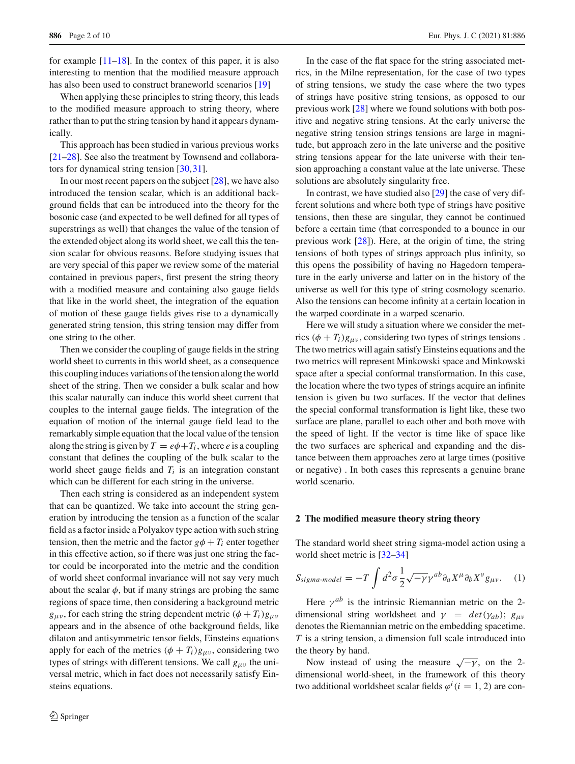for example  $[11-18]$  $[11-18]$ . In the contex of this paper, it is also interesting to mention that the modified measure approach has also been used to construct braneworld scenarios [\[19](#page-8-12)]

When applying these principles to string theory, this leads to the modified measure approach to string theory, where rather than to put the string tension by hand it appears dynamically.

This approach has been studied in various previous works [\[21](#page-8-13)[–28](#page-8-14)]. See also the treatment by Townsend and collaborators for dynamical string tension [\[30](#page-8-15),[31\]](#page-8-16).

In our most recent papers on the subject [\[28\]](#page-8-14), we have also introduced the tension scalar, which is an additional background fields that can be introduced into the theory for the bosonic case (and expected to be well defined for all types of superstrings as well) that changes the value of the tension of the extended object along its world sheet, we call this the tension scalar for obvious reasons. Before studying issues that are very special of this paper we review some of the material contained in previous papers, first present the string theory with a modified measure and containing also gauge fields that like in the world sheet, the integration of the equation of motion of these gauge fields gives rise to a dynamically generated string tension, this string tension may differ from one string to the other.

Then we consider the coupling of gauge fields in the string world sheet to currents in this world sheet, as a consequence this coupling induces variations of the tension along the world sheet of the string. Then we consider a bulk scalar and how this scalar naturally can induce this world sheet current that couples to the internal gauge fields. The integration of the equation of motion of the internal gauge field lead to the remarkably simple equation that the local value of the tension along the string is given by  $T = e\phi + T_i$ , where *e* is a coupling constant that defines the coupling of the bulk scalar to the world sheet gauge fields and  $T_i$  is an integration constant which can be different for each string in the universe.

Then each string is considered as an independent system that can be quantized. We take into account the string generation by introducing the tension as a function of the scalar field as a factor inside a Polyakov type action with such string tension, then the metric and the factor  $g\phi + T_i$  enter together in this effective action, so if there was just one string the factor could be incorporated into the metric and the condition of world sheet conformal invariance will not say very much about the scalar  $\phi$ , but if many strings are probing the same regions of space time, then considering a background metric  $g_{\mu\nu}$ , for each string the string dependent metric  $(\phi + T_i)g_{\mu\nu}$ appears and in the absence of othe background fields, like dilaton and antisymmetric tensor fields, Einsteins equations apply for each of the metrics  $(\phi + T_i)g_{\mu\nu}$ , considering two types of strings with different tensions. We call  $g_{\mu\nu}$  the universal metric, which in fact does not necessarily satisfy Einsteins equations.

In the case of the flat space for the string associated metrics, in the Milne representation, for the case of two types of string tensions, we study the case where the two types of strings have positive string tensions, as opposed to our previous work [\[28](#page-8-14)] where we found solutions with both positive and negative string tensions. At the early universe the negative string tension strings tensions are large in magnitude, but approach zero in the late universe and the positive string tensions appear for the late universe with their tension approaching a constant value at the late universe. These solutions are absolutely singularity free.

In contrast, we have studied also [\[29\]](#page-8-17) the case of very different solutions and where both type of strings have positive tensions, then these are singular, they cannot be continued before a certain time (that corresponded to a bounce in our previous work [\[28](#page-8-14)]). Here, at the origin of time, the string tensions of both types of strings approach plus infinity, so this opens the possibility of having no Hagedorn temperature in the early universe and latter on in the history of the universe as well for this type of string cosmology scenario. Also the tensions can become infinity at a certain location in the warped coordinate in a warped scenario.

Here we will study a situation where we consider the metrics  $(\phi + T_i)g_{\mu\nu}$ , considering two types of strings tensions. The two metrics will again satisfy Einsteins equations and the two metrics will represent Minkowski space and Minkowski space after a special conformal transformation. In this case, the location where the two types of strings acquire an infinite tension is given bu two surfaces. If the vector that defines the special conformal transformation is light like, these two surface are plane, parallel to each other and both move with the speed of light. If the vector is time like of space like the two surfaces are spherical and expanding and the distance between them approaches zero at large times (positive or negative) . In both cases this represents a genuine brane world scenario.

### **2 The modified measure theory string theory**

The standard world sheet string sigma-model action using a world sheet metric is [\[32](#page-8-18)[–34](#page-8-19)]

<span id="page-1-0"></span>
$$
S_{sigma-model} = -T \int d^2 \sigma \frac{1}{2} \sqrt{-\gamma} \gamma^{ab} \partial_a X^\mu \partial_b X^\nu g_{\mu\nu}.
$$
 (1)

Here  $\gamma^{ab}$  is the intrinsic Riemannian metric on the 2dimensional string worldsheet and  $\gamma = det(\gamma_{ab})$ ;  $g_{\mu\nu}$ denotes the Riemannian metric on the embedding spacetime. *T* is a string tension, a dimension full scale introduced into the theory by hand.

Now instead of using the measure  $\sqrt{-\gamma}$ , on the 2dimensional world-sheet, in the framework of this theory two additional worldsheet scalar fields  $\varphi^i$  (*i* = 1, 2) are con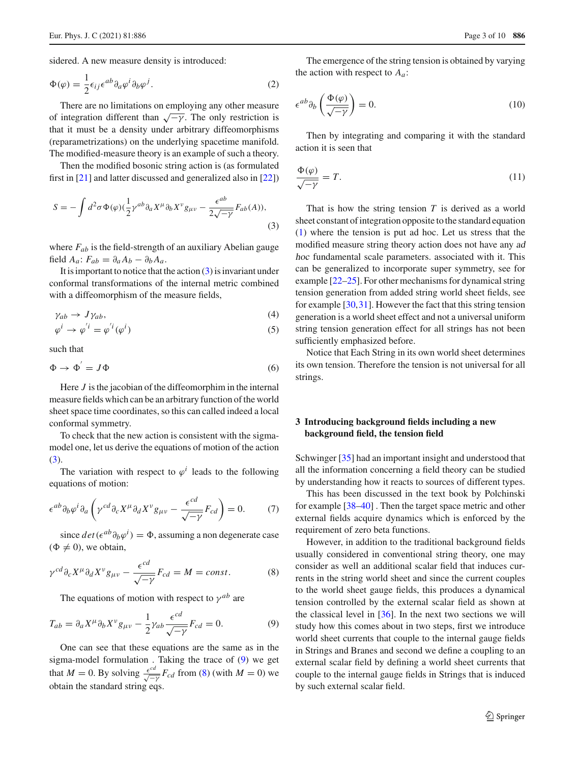sidered. A new measure density is introduced:

$$
\Phi(\varphi) = \frac{1}{2} \epsilon_{ij} \epsilon^{ab} \partial_a \varphi^i \partial_b \varphi^j.
$$
 (2)

There are no limitations on employing any other measure of integration different than  $\sqrt{-\gamma}$ . The only restriction is that it must be a density under arbitrary diffeomorphisms (reparametrizations) on the underlying spacetime manifold. The modified-measure theory is an example of such a theory.

Then the modified bosonic string action is (as formulated first in [\[21\]](#page-8-13) and latter discussed and generalized also in [\[22\]](#page-8-20))

<span id="page-2-0"></span>
$$
S = -\int d^2\sigma \Phi(\varphi) (\frac{1}{2} \gamma^{ab} \partial_a X^\mu \partial_b X^\nu g_{\mu\nu} - \frac{\epsilon^{ab}}{2\sqrt{-\gamma}} F_{ab}(A)),
$$
\n(3)

where  $F_{ab}$  is the field-strength of an auxiliary Abelian gauge field  $A_a$ :  $F_{ab} = \partial_a A_b - \partial_b A_a$ .

It is important to notice that the action  $(3)$  is invariant under conformal transformations of the internal metric combined with a diffeomorphism of the measure fields,

$$
\gamma_{ab} \to J\gamma_{ab},\tag{4}
$$

$$
\varphi^i \to \varphi^{'i} = \varphi^{'i}(\varphi^i)
$$
\n(5)

such that

$$
\Phi \to \Phi' = J\Phi \tag{6}
$$

Here *J* is the jacobian of the diffeomorphim in the internal measure fields which can be an arbitrary function of the world sheet space time coordinates, so this can called indeed a local conformal symmetry.

To check that the new action is consistent with the sigmamodel one, let us derive the equations of motion of the action  $(3).$  $(3).$ 

The variation with respect to  $\varphi^i$  leads to the following equations of motion:

$$
\epsilon^{ab}\partial_b\varphi^i\partial_a\left(\gamma^{cd}\partial_cX^\mu\partial_dX^\nu g_{\mu\nu}-\frac{\epsilon^{cd}}{\sqrt{-\gamma}}F_{cd}\right)=0.\tag{7}
$$

since  $det(e^{ab}\partial_b\varphi^i) = \Phi$ , assuming a non degenerate case  $(\Phi \neq 0)$ , we obtain,

<span id="page-2-2"></span>
$$
\gamma^{cd} \partial_c X^\mu \partial_d X^\nu g_{\mu\nu} - \frac{\epsilon^{cd}}{\sqrt{-\gamma}} F_{cd} = M = const.
$$
 (8)

The equations of motion with respect to  $\gamma^{ab}$  are

<span id="page-2-1"></span>
$$
T_{ab} = \partial_a X^\mu \partial_b X^\nu g_{\mu\nu} - \frac{1}{2} \gamma_{ab} \frac{\epsilon^{cd}}{\sqrt{-\gamma}} F_{cd} = 0. \tag{9}
$$

One can see that these equations are the same as in the sigma-model formulation . Taking the trace of [\(9\)](#page-2-1) we get that *M* = 0. By solving  $\frac{\epsilon^{cd}}{\sqrt{-\gamma}} F_{cd}$  from [\(8\)](#page-2-2) (with *M* = 0) we obtain the standard string eqs.

The emergence of the string tension is obtained by varying the action with respect to *Aa*:

$$
\epsilon^{ab}\partial_b\left(\frac{\Phi(\varphi)}{\sqrt{-\gamma}}\right) = 0. \tag{10}
$$

Then by integrating and comparing it with the standard action it is seen that

$$
\frac{\Phi(\varphi)}{\sqrt{-\gamma}} = T.
$$
\n(11)

That is how the string tension *T* is derived as a world sheet constant of integration opposite to the standard equation [\(1\)](#page-1-0) where the tension is put ad hoc. Let us stress that the modified measure string theory action does not have any ad hoc fundamental scale parameters. associated with it. This can be generalized to incorporate super symmetry, see for example [\[22](#page-8-20)[–25\]](#page-8-21). For other mechanisms for dynamical string tension generation from added string world sheet fields, see for example [\[30](#page-8-15),[31\]](#page-8-16). However the fact that this string tension generation is a world sheet effect and not a universal uniform string tension generation effect for all strings has not been sufficiently emphasized before.

Notice that Each String in its own world sheet determines its own tension. Therefore the tension is not universal for all strings.

## **3 Introducing background fields including a new background field, the tension field**

Schwinger [\[35](#page-8-22)] had an important insight and understood that all the information concerning a field theory can be studied by understanding how it reacts to sources of different types.

This has been discussed in the text book by Polchinski for example [\[38](#page-8-23)[–40\]](#page-8-24) . Then the target space metric and other external fields acquire dynamics which is enforced by the requirement of zero beta functions.

However, in addition to the traditional background fields usually considered in conventional string theory, one may consider as well an additional scalar field that induces currents in the string world sheet and since the current couples to the world sheet gauge fields, this produces a dynamical tension controlled by the external scalar field as shown at the classical level in  $[36]$ . In the next two sections we will study how this comes about in two steps, first we introduce world sheet currents that couple to the internal gauge fields in Strings and Branes and second we define a coupling to an external scalar field by defining a world sheet currents that couple to the internal gauge fields in Strings that is induced by such external scalar field.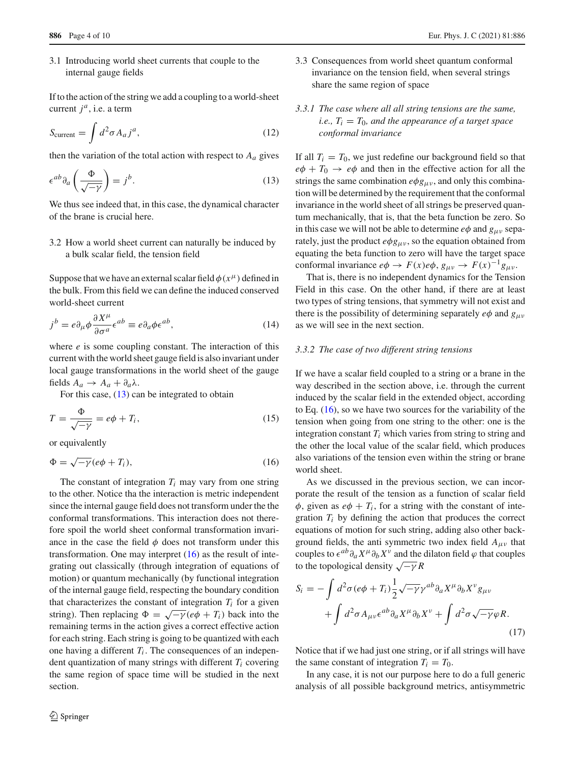3.1 Introducing world sheet currents that couple to the internal gauge fields

If to the action of the string we add a coupling to a world-sheet current  $j^a$ , i.e. a term

$$
S_{\text{current}} = \int d^2 \sigma A_a j^a,\tag{12}
$$

then the variation of the total action with respect to  $A_a$  gives

<span id="page-3-0"></span>
$$
\epsilon^{ab}\partial_a\left(\frac{\Phi}{\sqrt{-\gamma}}\right) = j^b.
$$
 (13)

We thus see indeed that, in this case, the dynamical character of the brane is crucial here.

3.2 How a world sheet current can naturally be induced by a bulk scalar field, the tension field

Suppose that we have an external scalar field  $\phi(x^{\mu})$  defined in the bulk. From this field we can define the induced conserved world-sheet current

$$
j^{b} = e \partial_{\mu} \phi \frac{\partial X^{\mu}}{\partial \sigma^{a}} \epsilon^{ab} \equiv e \partial_{a} \phi \epsilon^{ab}, \qquad (14)
$$

where *e* is some coupling constant. The interaction of this current with the world sheet gauge field is also invariant under local gauge transformations in the world sheet of the gauge fields  $A_a \rightarrow A_a + \partial_a \lambda$ .

For this case,  $(13)$  can be integrated to obtain

$$
T = \frac{\Phi}{\sqrt{-\gamma}} = e\phi + T_i,
$$
\n(15)

or equivalently

<span id="page-3-1"></span>
$$
\Phi = \sqrt{-\gamma} (e\phi + T_i),\tag{16}
$$

The constant of integration  $T_i$  may vary from one string to the other. Notice tha the interaction is metric independent since the internal gauge field does not transform under the the conformal transformations. This interaction does not therefore spoil the world sheet conformal transformation invariance in the case the field  $\phi$  does not transform under this transformation. One may interpret  $(16)$  as the result of integrating out classically (through integration of equations of motion) or quantum mechanically (by functional integration of the internal gauge field, respecting the boundary condition that characterizes the constant of integration  $T_i$  for a given string). Then replacing  $\Phi = \sqrt{-\gamma} (e\phi + T_i)$  back into the remaining terms in the action gives a correct effective action for each string. Each string is going to be quantized with each one having a different  $T_i$ . The consequences of an independent quantization of many strings with different  $T_i$  covering the same region of space time will be studied in the next section.

- 3.3 Consequences from world sheet quantum conformal invariance on the tension field, when several strings share the same region of space
- *3.3.1 The case where all all string tensions are the same, i.e.,*  $T_i = T_0$ *, and the appearance of a target space conformal invariance*

If all  $T_i = T_0$ , we just redefine our background field so that  $e\phi + T_0 \rightarrow e\phi$  and then in the effective action for all the strings the same combination  $e\phi g_{\mu\nu}$ , and only this combination will be determined by the requirement that the conformal invariance in the world sheet of all strings be preserved quantum mechanically, that is, that the beta function be zero. So in this case we will not be able to determine  $e\phi$  and  $g_{\mu\nu}$  separately, just the product  $e\phi g_{\mu\nu}$ , so the equation obtained from equating the beta function to zero will have the target space conformal invariance  $e\phi \rightarrow F(x)e\phi$ ,  $g_{\mu\nu} \rightarrow F(x)^{-1}g_{\mu\nu}$ .

That is, there is no independent dynamics for the Tension Field in this case. On the other hand, if there are at least two types of string tensions, that symmetry will not exist and there is the possibility of determining separately  $e\phi$  and  $g_{\mu\nu}$ as we will see in the next section.

## *3.3.2 The case of two different string tensions*

If we have a scalar field coupled to a string or a brane in the way described in the section above, i.e. through the current induced by the scalar field in the extended object, according to Eq.  $(16)$ , so we have two sources for the variability of the tension when going from one string to the other: one is the integration constant  $T_i$  which varies from string to string and the other the local value of the scalar field, which produces also variations of the tension even within the string or brane world sheet.

As we discussed in the previous section, we can incorporate the result of the tension as a function of scalar field  $\phi$ , given as  $e\phi + T_i$ , for a string with the constant of integration  $T_i$  by defining the action that produces the correct equations of motion for such string, adding also other background fields, the anti symmetric two index field  $A_{\mu\nu}$  that couples to  $\epsilon^{ab}\partial_a X^\mu \partial_b X^\nu$  and the dilaton field  $\varphi$  that couples to the topological density  $\sqrt{-\gamma}R$ 

$$
S_i = -\int d^2\sigma (e\phi + T_i) \frac{1}{2} \sqrt{-\gamma} \gamma^{ab} \partial_a X^\mu \partial_b X^\nu g_{\mu\nu} + \int d^2\sigma A_{\mu\nu} \epsilon^{ab} \partial_a X^\mu \partial_b X^\nu + \int d^2\sigma \sqrt{-\gamma} \varphi R.
$$
\n(17)

Notice that if we had just one string, or if all strings will have the same constant of integration  $T_i = T_0$ .

In any case, it is not our purpose here to do a full generic analysis of all possible background metrics, antisymmetric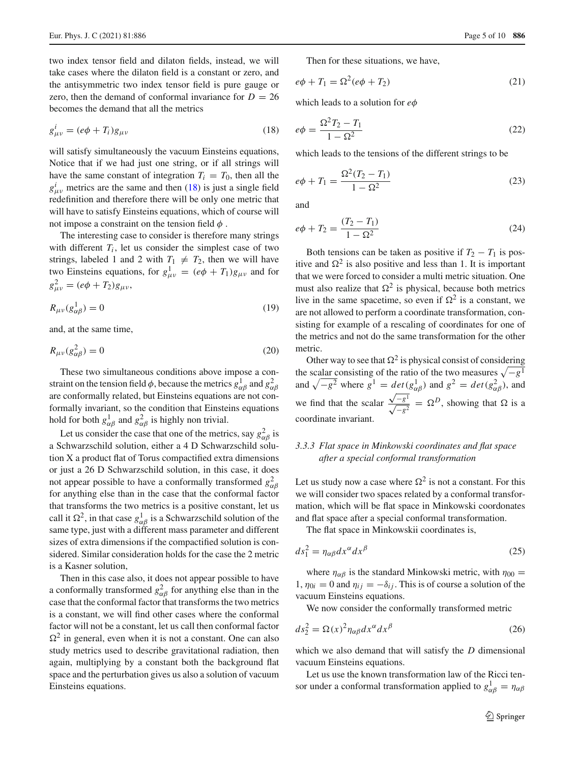two index tensor field and dilaton fields, instead, we will take cases where the dilaton field is a constant or zero, and the antisymmetric two index tensor field is pure gauge or zero, then the demand of conformal invariance for  $D = 26$ becomes the demand that all the metrics

<span id="page-4-0"></span>
$$
g_{\mu\nu}^i = (e\phi + T_i)g_{\mu\nu} \tag{18}
$$

will satisfy simultaneously the vacuum Einsteins equations, Notice that if we had just one string, or if all strings will have the same constant of integration  $T_i = T_0$ , then all the  $g^i_{\mu\nu}$  metrics are the same and then [\(18\)](#page-4-0) is just a single field redefinition and therefore there will be only one metric that will have to satisfy Einsteins equations, which of course will not impose a constraint on the tension field  $\phi$ .

The interesting case to consider is therefore many strings with different  $T_i$ , let us consider the simplest case of two strings, labeled 1 and 2 with  $T_1 \neq T_2$ , then we will have two Einsteins equations, for  $g_{\mu\nu}^1 = (e\phi + T_1)g_{\mu\nu}$  and for  $g_{\mu\nu}^2 = (e\phi + T_2)g_{\mu\nu}$ ,

$$
R_{\mu\nu}(g_{\alpha\beta}^1) = 0\tag{19}
$$

and, at the same time,

$$
R_{\mu\nu}(g_{\alpha\beta}^2) = 0\tag{20}
$$

These two simultaneous conditions above impose a constraint on the tension field  $\phi$ , because the metrics  $g_{\alpha\beta}^1$  and  $g_{\alpha\beta}^2$ are conformally related, but Einsteins equations are not conformally invariant, so the condition that Einsteins equations hold for both  $g_{\alpha\beta}^1$  and  $g_{\alpha\beta}^2$  is highly non trivial.

Let us consider the case that one of the metrics, say  $g_{\alpha\beta}^2$  is a Schwarzschild solution, either a 4 D Schwarzschild solution X a product flat of Torus compactified extra dimensions or just a 26 D Schwarzschild solution, in this case, it does not appear possible to have a conformally transformed  $g_{\alpha\beta}^2$ for anything else than in the case that the conformal factor that transforms the two metrics is a positive constant, let us call it  $\Omega^2$ , in that case  $g_{\alpha\beta}^1$  is a Schwarzschild solution of the same type, just with a different mass parameter and different sizes of extra dimensions if the compactified solution is considered. Similar consideration holds for the case the 2 metric is a Kasner solution,

Then in this case also, it does not appear possible to have a conformally transformed  $g_{\alpha\beta}^2$  for anything else than in the case that the conformal factor that transforms the two metrics is a constant, we will find other cases where the conformal factor will not be a constant, let us call then conformal factor  $\Omega^2$  in general, even when it is not a constant. One can also study metrics used to describe gravitational radiation, then again, multiplying by a constant both the background flat space and the perturbation gives us also a solution of vacuum Einsteins equations.

Then for these situations, we have,

$$
e\phi + T_1 = \Omega^2 (e\phi + T_2) \tag{21}
$$

which leads to a solution for *e*φ

$$
e\phi = \frac{\Omega^2 T_2 - T_1}{1 - \Omega^2}
$$
 (22)

which leads to the tensions of the different strings to be

$$
e\phi + T_1 = \frac{\Omega^2 (T_2 - T_1)}{1 - \Omega^2} \tag{23}
$$

and

$$
e\phi + T_2 = \frac{(T_2 - T_1)}{1 - \Omega^2} \tag{24}
$$

Both tensions can be taken as positive if  $T_2 - T_1$  is positive and  $\Omega^2$  is also positive and less than 1. It is important that we were forced to consider a multi metric situation. One must also realize that  $\Omega^2$  is physical, because both metrics live in the same spacetime, so even if  $\Omega^2$  is a constant, we are not allowed to perform a coordinate transformation, consisting for example of a rescaling of coordinates for one of the metrics and not do the same transformation for the other metric.

Other way to see that  $\Omega^2$  is physical consist of considering the scalar consisting of the ratio of the two measures  $\sqrt{-g^1}$ and  $\sqrt{-g^2}$  where  $g^1 = det(g^1_{\alpha\beta})$  and  $g^2 = det(g^2_{\alpha\beta})$ , and we find that the scalar  $\frac{\sqrt{-g^1}}{\sqrt{-g^1}}$  $\frac{\sqrt{-g^2}}{\sqrt{-g^2}} = \Omega^D$ , showing that  $\Omega$  is a coordinate invariant.

# *3.3.3 Flat space in Minkowski coordinates and flat space after a special conformal transformation*

Let us study now a case where  $\Omega^2$  is not a constant. For this we will consider two spaces related by a conformal transformation, which will be flat space in Minkowski coordonates and flat space after a special conformal transformation.

The flat space in Minkowskii coordinates is,

$$
ds_1^2 = \eta_{\alpha\beta} dx^{\alpha} dx^{\beta} \tag{25}
$$

where  $\eta_{\alpha\beta}$  is the standard Minkowski metric, with  $\eta_{00} =$ 1,  $\eta_{0i} = 0$  and  $\eta_{ij} = -\delta_{ij}$ . This is of course a solution of the vacuum Einsteins equations.

We now consider the conformally transformed metric

$$
ds_2^2 = \Omega(x)^2 \eta_{\alpha\beta} dx^{\alpha} dx^{\beta} \tag{26}
$$

which we also demand that will satisfy the *D* dimensional vacuum Einsteins equations.

Let us use the known transformation law of the Ricci tensor under a conformal transformation applied to  $g_{\alpha\beta}^1 = \eta_{\alpha\beta}$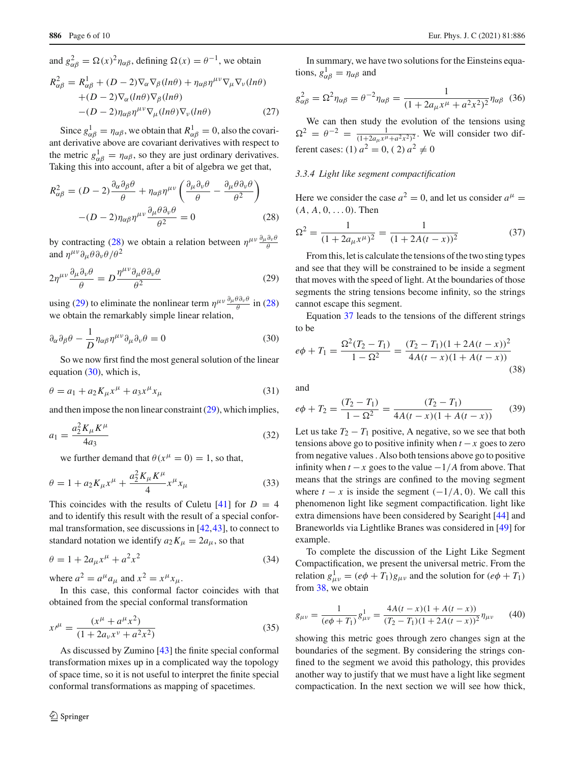and  $g_{\alpha\beta}^2 = \Omega(x)^2 \eta_{\alpha\beta}$ , defining  $\Omega(x) = \theta^{-1}$ , we obtain  $R_{\alpha\beta}^2 = R_{\alpha\beta}^1 + (D-2)\nabla_\alpha\nabla_\beta(\ln\theta) + \eta_{\alpha\beta}\eta^{\mu\nu}\nabla_\mu\nabla_\nu(\ln\theta)$  $+(D-2)\nabla_{\alpha}(ln\theta)\nabla_{\beta}(ln\theta)$  $-(D-2)\eta_{\alpha\beta}\eta^{\mu\nu}\nabla_{\mu}(ln\theta)\nabla_{\nu}(ln\theta)$  (27)

Since  $g_{\alpha\beta}^1 = \eta_{\alpha\beta}$ , we obtain that  $R_{\alpha\beta}^1 = 0$ , also the covariant derivative above are covariant derivatives with respect to the metric  $g_{\alpha\beta}^1 = \eta_{\alpha\beta}$ , so they are just ordinary derivatives. Taking this into account, after a bit of algebra we get that,

<span id="page-5-0"></span>
$$
R_{\alpha\beta}^2 = (D-2)\frac{\partial_{\alpha}\partial_{\beta}\theta}{\theta} + \eta_{\alpha\beta}\eta^{\mu\nu}\left(\frac{\partial_{\mu}\partial_{\nu}\theta}{\theta} - \frac{\partial_{\mu}\theta\partial_{\nu}\theta}{\theta^2}\right)
$$

$$
-(D-2)\eta_{\alpha\beta}\eta^{\mu\nu}\frac{\partial_{\mu}\theta\partial_{\nu}\theta}{\theta^2} = 0
$$
(28)

by contracting [\(28\)](#page-5-0) we obtain a relation between  $\eta^{\mu\nu} \frac{\partial_{\mu}\partial_{\nu}\theta}{\partial \theta}$ and  $\eta^{\mu\nu}\partial_{\mu}\theta\partial_{\nu}\theta/\theta^2$ 

<span id="page-5-1"></span>
$$
2\eta^{\mu\nu}\frac{\partial_{\mu}\partial_{\nu}\theta}{\theta} = D\frac{\eta^{\mu\nu}\partial_{\mu}\theta\partial_{\nu}\theta}{\theta^2}
$$
 (29)

using [\(29\)](#page-5-1) to eliminate the nonlinear term  $\eta^{\mu\nu} \frac{\partial_{\mu}\theta \partial_{\nu}\theta}{\partial}$  in [\(28\)](#page-5-0) we obtain the remarkably simple linear relation,

<span id="page-5-2"></span>
$$
\partial_{\alpha}\partial_{\beta}\theta - \frac{1}{D}\eta_{\alpha\beta}\eta^{\mu\nu}\partial_{\mu}\partial_{\nu}\theta = 0
$$
\n(30)

So we now first find the most general solution of the linear equation  $(30)$ , which is,

$$
\theta = a_1 + a_2 K_{\mu} x^{\mu} + a_3 x^{\mu} x_{\mu}
$$
\n(31)

and then impose the non linear constraint [\(29\)](#page-5-1), which implies,

$$
a_1 = \frac{a_2^2 K_\mu K^\mu}{4a_3} \tag{32}
$$

we further demand that  $\theta(x^{\mu} = 0) = 1$ , so that,

$$
\theta = 1 + a_2 K_{\mu} x^{\mu} + \frac{a_2^2 K_{\mu} K^{\mu}}{4} x^{\mu} x_{\mu}
$$
\n(33)

This coincides with the results of Culetu  $[41]$  $[41]$  for  $D = 4$ and to identify this result with the result of a special conformal transformation, see discussions in [\[42](#page-9-0)[,43](#page-9-1)], to connect to standard notation we identify  $a_2K_\mu = 2a_\mu$ , so that

$$
\theta = 1 + 2a_{\mu}x^{\mu} + a^2x^2 \tag{34}
$$

where  $a^2 = a^{\mu}a_{\mu}$  and  $x^2 = x^{\mu}x_{\mu}$ .

In this case, this conformal factor coincides with that obtained from the special conformal transformation

$$
x^{\mu} = \frac{(x^{\mu} + a^{\mu}x^2)}{(1 + 2a_{\nu}x^{\nu} + a^2x^2)}
$$
(35)

As discussed by Zumino [\[43](#page-9-1)] the finite special conformal transformation mixes up in a complicated way the topology of space time, so it is not useful to interpret the finite special conformal transformations as mapping of spacetimes.

In summary, we have two solutions for the Einsteins equations,  $g_{\alpha\beta}^1 = \eta_{\alpha\beta}$  and

$$
g_{\alpha\beta}^2 = \Omega^2 \eta_{\alpha\beta} = \theta^{-2} \eta_{\alpha\beta} = \frac{1}{(1 + 2a_\mu x^\mu + a^2 x^2)^2} \eta_{\alpha\beta} \tag{36}
$$

We can then study the evolution of the tensions using  $\Omega^2 = \theta^{-2} = \frac{1}{(1+2a_\mu x^\mu + a^2 x^2)^2}$ . We will consider two different cases: (1)  $a^2 = 0$ , (2)  $a^2 \neq 0$ 

## *3.3.4 Light like segment compactification*

Here we consider the case  $a^2 = 0$ , and let us consider  $a^{\mu} =$  $(A, A, 0, \ldots, 0)$ . Then

<span id="page-5-3"></span>
$$
\Omega^2 = \frac{1}{(1 + 2a_\mu x^\mu)^2} = \frac{1}{(1 + 2A(t - x))^2}
$$
(37)

From this, let is calculate the tensions of the two sting types and see that they will be constrained to be inside a segment that moves with the speed of light. At the boundaries of those segments the string tensions become infinity, so the strings cannot escape this segment.

Equation [37](#page-5-3) leads to the tensions of the different strings to be

<span id="page-5-4"></span>
$$
e\phi + T_1 = \frac{\Omega^2 (T_2 - T_1)}{1 - \Omega^2} = \frac{(T_2 - T_1)(1 + 2A(t - x))^2}{4A(t - x)(1 + A(t - x))}
$$
(38)

and

$$
e\phi + T_2 = \frac{(T_2 - T_1)}{1 - \Omega^2} = \frac{(T_2 - T_1)}{4A(t - x)(1 + A(t - x))}
$$
(39)

Let us take  $T_2 - T_1$  positive, A negative, so we see that both tensions above go to positive infinity when  $t - x$  goes to zero from negative values . Also both tensions above go to positive infinity when  $t - x$  goes to the value  $-1/A$  from above. That means that the strings are confined to the moving segment where  $t - x$  is inside the segment  $(-1/A, 0)$ . We call this phenomenon light like segment compactification. light like extra dimensions have been considered by Searight [\[44](#page-9-2)] and Braneworlds via Lightlike Branes was considered in [\[49](#page-9-3)] for example.

To complete the discussion of the Light Like Segment Compactification, we present the universal metric. From the relation  $g_{\mu\nu}^1 = (e\phi + T_1)g_{\mu\nu}$  and the solution for  $(e\phi + T_1)$ from [38,](#page-5-4) we obtain

$$
g_{\mu\nu} = \frac{1}{(e\phi + T_1)} g_{\mu\nu}^1 = \frac{4A(t - x)(1 + A(t - x))}{(T_2 - T_1)(1 + 2A(t - x))^2} \eta_{\mu\nu} \tag{40}
$$

showing this metric goes through zero changes sign at the boundaries of the segment. By considering the strings confined to the segment we avoid this pathology, this provides another way to justify that we must have a light like segment compactication. In the next section we will see how thick,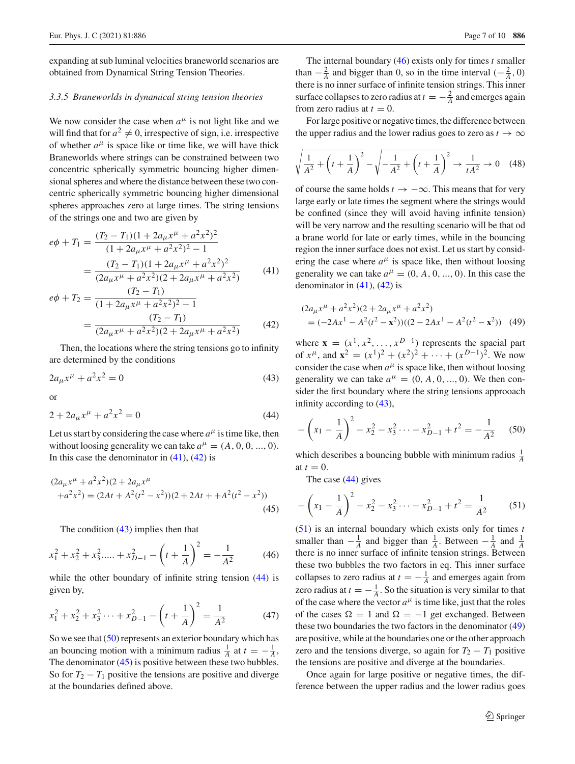expanding at sub luminal velocities braneworld scenarios are obtained from Dynamical String Tension Theories.

### *3.3.5 Braneworlds in dynamical string tension theories*

We now consider the case when  $a^{\mu}$  is not light like and we will find that for  $a^2 \neq 0$ , irrespective of sign, i.e. irrespective of whether  $a^{\mu}$  is space like or time like, we will have thick Braneworlds where strings can be constrained between two concentric spherically symmetric bouncing higher dimensional spheres and where the distance between these two concentric spherically symmetric bouncing higher dimensional spheres approaches zero at large times. The string tensions of the strings one and two are given by

<span id="page-6-0"></span>
$$
e\phi + T_1 = \frac{(T_2 - T_1)(1 + 2a_\mu x^\mu + a^2 x^2)^2}{(1 + 2a_\mu x^\mu + a^2 x^2)^2 - 1}
$$

$$
= \frac{(T_2 - T_1)(1 + 2a_\mu x^\mu + a^2 x^2)^2}{(2a_\mu x^\mu + a^2 x^2)(2 + 2a_\mu x^\mu + a^2 x^2)}
$$
(41)
$$
\frac{(T_2 - T_1)}{(T_2 - T_1)}
$$

$$
e\phi + T_2 = \frac{(T_2 - T_1)}{(1 + 2a_\mu x^\mu + a^2 x^2)^2 - 1}
$$
  
= 
$$
\frac{(T_2 - T_1)}{(2a_\mu x^\mu + a^2 x^2)(2 + 2a_\mu x^\mu + a^2 x^2)}
$$
(42)

Then, the locations where the string tensions go to infinity are determined by the conditions

<span id="page-6-1"></span>
$$
2a_{\mu}x^{\mu} + a^2x^2 = 0
$$
\n(43)

or

<span id="page-6-2"></span>
$$
2 + 2a_{\mu}x^{\mu} + a^2x^2 = 0
$$
\n(44)

Let us start by considering the case where  $a^{\mu}$  is time like, then without loosing generality we can take  $a^{\mu} = (A, 0, 0, ..., 0)$ . In this case the denominator in  $(41)$ ,  $(42)$  is

<span id="page-6-4"></span>
$$
(2a_{\mu}x^{\mu} + a^2x^2)(2 + 2a_{\mu}x^{\mu})
$$
  
+
$$
a^2x^2) = (2At + A^2(t^2 - x^2))(2 + 2At + A^2(t^2 - x^2))
$$
(45)

The condition  $(43)$  implies then that

<span id="page-6-5"></span>
$$
x_1^2 + x_2^2 + x_3^2 + \dots + x_{D-1}^2 - \left(t + \frac{1}{A}\right)^2 = -\frac{1}{A^2} \tag{46}
$$

while the other boundary of infinite string tension  $(44)$  is given by,

$$
x_1^2 + x_2^2 + x_3^2 \dots + x_{D-1}^2 - \left(t + \frac{1}{A}\right)^2 = \frac{1}{A^2} \tag{47}
$$

So we see that  $(50)$  represents an exterior boundary which has an bouncing motion with a minimum radius  $\frac{1}{A}$  at  $t = -\frac{1}{A}$ , The denominator [\(45\)](#page-6-4) is positive between these two bubbles. So for  $T_2 - T_1$  positive the tensions are positive and diverge at the boundaries defined above.

The internal boundary [\(46\)](#page-6-5) exists only for times *t* smaller than  $-\frac{2}{A}$  and bigger than 0, so in the time interval  $(-\frac{2}{A}, 0)$ there is no inner surface of infinite tension strings. This inner surface collapses to zero radius at  $t = -\frac{2}{A}$  and emerges again from zero radius at  $t = 0$ .

For large positive or negative times, the difference between the upper radius and the lower radius goes to zero as  $t \to \infty$ 

$$
\sqrt{\frac{1}{A^2} + \left(t + \frac{1}{A}\right)^2} - \sqrt{-\frac{1}{A^2} + \left(t + \frac{1}{A}\right)^2} \to \frac{1}{tA^2} \to 0 \quad (48)
$$

of course the same holds  $t \to -\infty$ . This means that for very large early or late times the segment where the strings would be confined (since they will avoid having infinite tension) will be very narrow and the resulting scenario will be that od a brane world for late or early times, while in the bouncing region the inner surface does not exist. Let us start by considering the case where  $a^{\mu}$  is space like, then without loosing generality we can take  $a^{\mu} = (0, A, 0, ..., 0)$ . In this case the denominator in  $(41)$ ,  $(42)$  is

<span id="page-6-7"></span>
$$
(2a_{\mu}x^{\mu} + a^2x^2)(2 + 2a_{\mu}x^{\mu} + a^2x^2)
$$
  
=  $(-2Ax^1 - A^2(t^2 - \mathbf{x}^2))((2 - 2Ax^1 - A^2(t^2 - \mathbf{x}^2))$  (49)

where  $\mathbf{x} = (x^1, x^2, \dots, x^{D-1})$  represents the spacial part of  $x^{\mu}$ , and  $\mathbf{x}^{2} = (x^{1})^{2} + (x^{2})^{2} + \cdots + (x^{D-1})^{2}$ . We now consider the case when  $a^{\mu}$  is space like, then without loosing generality we can take  $a^{\mu} = (0, A, 0, \dots, 0)$ . We then consider the first boundary where the string tensions approoach infinity according to [\(43\)](#page-6-1),

<span id="page-6-3"></span>
$$
-\left(x_1 - \frac{1}{A}\right)^2 - x_2^2 - x_3^2 \cdots - x_{D-1}^2 + t^2 = -\frac{1}{A^2} \tag{50}
$$

which describes a bouncing bubble with minimum radius  $\frac{1}{A}$ at  $t = 0$ .

The case [\(44\)](#page-6-2) gives

<span id="page-6-6"></span>
$$
-\left(x_1 - \frac{1}{A}\right)^2 - x_2^2 - x_3^2 \cdots - x_{D-1}^2 + t^2 = \frac{1}{A^2} \tag{51}
$$

[\(51\)](#page-6-6) is an internal boundary which exists only for times *t* smaller than  $-\frac{1}{A}$  and bigger than  $\frac{1}{A}$ . Between  $-\frac{1}{A}$  and  $\frac{1}{A}$ there is no inner surface of infinite tension strings. Between these two bubbles the two factors in eq. This inner surface collapses to zero radius at  $t = -\frac{1}{A}$  and emerges again from zero radius at  $t = -\frac{1}{A}$ . So the situation is very similar to that of the case where the vector  $a^{\mu}$  is time like, just that the roles of the cases  $\Omega = 1$  and  $\Omega = -1$  get exchanged. Between these two boundaries the two factors in the denominator [\(49\)](#page-6-7) are positive, while at the boundaries one or the other approach zero and the tensions diverge, so again for  $T_2 - T_1$  positive the tensions are positive and diverge at the boundaries.

Once again for large positive or negative times, the difference between the upper radius and the lower radius goes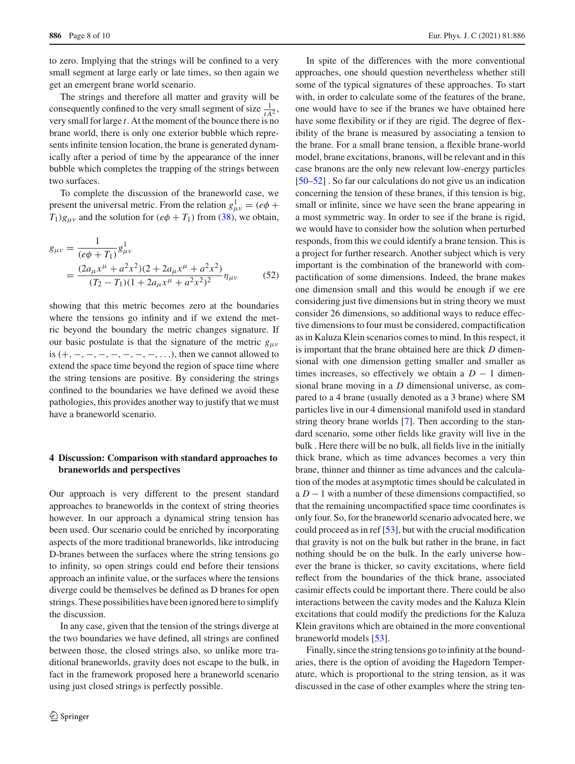to zero. Implying that the strings will be confined to a very small segment at large early or late times, so then again we get an emergent brane world scenario.

The strings and therefore all matter and gravity will be consequently confined to the very small segment of size  $\frac{1}{tA^2}$ , very small for large *t*. At the moment of the bounce there is no brane world, there is only one exterior bubble which represents infinite tension location, the brane is generated dynamically after a period of time by the appearance of the inner bubble which completes the trapping of the strings between two surfaces.

To complete the discussion of the braneworld case, we present the universal metric. From the relation  $g_{\mu\nu}^1 = (e\phi +$  $T_1$ )*g<sub>μν</sub>* and the solution for (*e* $\phi$  +  $T_1$ ) from [\(38\)](#page-5-4), we obtain,

$$
g_{\mu\nu} = \frac{1}{(e\phi + T_1)} g_{\mu\nu}^1
$$
  
= 
$$
\frac{(2a_{\mu}x^{\mu} + a^2x^2)(2 + 2a_{\mu}x^{\mu} + a^2x^2)}{(T_2 - T_1)(1 + 2a_{\mu}x^{\mu} + a^2x^2)^2} \eta_{\mu\nu}
$$
 (52)

showing that this metric becomes zero at the boundaries where the tensions go infinity and if we extend the metric beyond the boundary the metric changes signature. If our basic postulate is that the signature of the metric  $g_{\mu\nu}$ is  $(+, -, -, -, -, -, -, -, ...,$ , then we cannot allowed to extend the space time beyond the region of space time where the string tensions are positive. By considering the strings confined to the boundaries we have defined we avoid these pathologies, this provides another way to justify that we must have a braneworld scenario.

# **4 Discussion: Comparison with standard approaches to braneworlds and perspectives**

Our approach is very different to the present standard approaches to braneworlds in the context of string theories however. In our approach a dynamical string tension has been used. Our scenario could be enriched by incorporating aspects of the more traditional braneworlds, like introducing D-branes between the surfaces where the string tensions go to infinity, so open strings could end before their tensions approach an infinite value, or the surfaces where the tensions diverge could be themselves be defined as D branes for open strings. These possibilities have been ignored here to simplify the discussion.

In any case, given that the tension of the strings diverge at the two boundaries we have defined, all strings are confined between those, the closed strings also, so unlike more traditional braneworlds, gravity does not escape to the bulk, in fact in the framework proposed here a braneworld scenario using just closed strings is perfectly possible.

In spite of the differences with the more conventional approaches, one should question nevertheless whether still some of the typical signatures of these approaches. To start with, in order to calculate some of the features of the brane, one would have to see if the branes we have obtained here have some flexibility or if they are rigid. The degree of flexibility of the brane is measured by associating a tension to the brane. For a small brane tension, a flexible brane-world model, brane excitations, branons, will be relevant and in this case branons are the only new relevant low-energy particles [\[50](#page-9-4)[–52](#page-9-5)] . So far our calculations do not give us an indication concerning the tension of these branes, if this tension is big, small or infinite, since we have seen the brane appearing in a most symmetric way. In order to see if the brane is rigid, we would have to consider how the solution when perturbed responds, from this we could identify a brane tension. This is a project for further research. Another subject which is very important is the combination of the braneworld with compactification of some dimensions. Indeed, the brane makes one dimension small and this would be enough if we ere considering just five dimensions but in string theory we must consider 26 dimensions, so additional ways to reduce effective dimensions to four must be considered, compactification as in Kaluza Klein scenarios comes to mind. In this respect, it is important that the brane obtained here are thick *D* dimensional with one dimension getting smaller and smaller as times increases, so effectively we obtain a  $D - 1$  dimensional brane moving in a *D* dimensional universe, as compared to a 4 brane (usually denoted as a 3 brane) where SM particles live in our 4 dimensional manifold used in standard string theory brane worlds [\[7](#page-8-6)]. Then according to the standard scenario, some other fields like gravity will live in the bulk . Here there will be no bulk, all fields live in the initially thick brane, which as time advances becomes a very thin brane, thinner and thinner as time advances and the calculation of the modes at asymptotic times should be calculated in a *D* − 1 with a number of these dimensions compactified, so that the remaining uncompactified space time coordinates is only four. So, for the braneworld scenario advocated here, we could proceed as in ref [\[53](#page-9-6)], but with the crucial modification that gravity is not on the bulk but rather in the brane, in fact nothing should be on the bulk. In the early universe however the brane is thicker, so cavity excitations, where field reflect from the boundaries of the thick brane, associated casimir effects could be important there. There could be also interactions between the cavity modes and the Kaluza Klein excitations that could modify the predictions for the Kaluza Klein gravitons which are obtained in the more conventional braneworld models [\[53](#page-9-6)].

Finally, since the string tensions go to infinity at the boundaries, there is the option of avoiding the Hagedorn Temperature, which is proportional to the string tension, as it was discussed in the case of other examples where the string ten-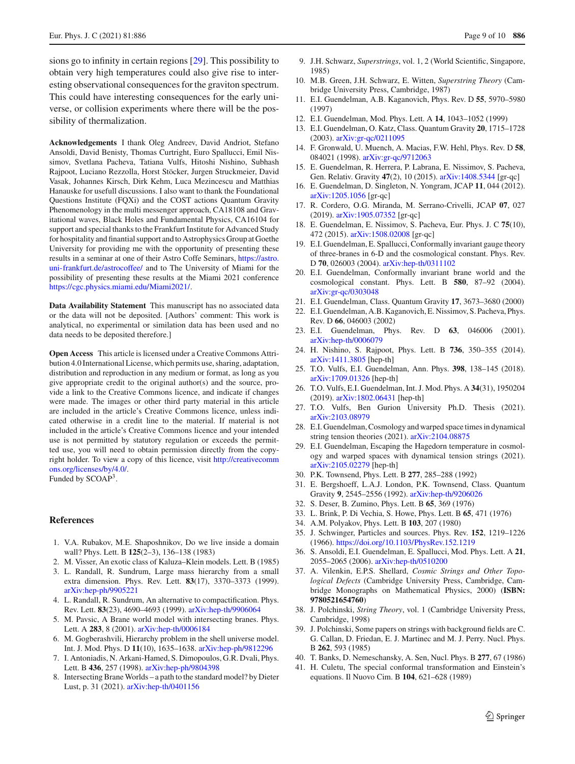sions go to infinity in certain regions [\[29](#page-8-17)]. This possibility to obtain very high temperatures could also give rise to interesting observational consequences for the graviton spectrum. This could have interesting consequences for the early universe, or collision experiments where there will be the possibility of thermalization.

**Acknowledgements** I thank Oleg Andreev, David Andriot, Stefano Ansoldi, David Benisty, Thomas Curtright, Euro Spallucci, Emil Nissimov, Svetlana Pacheva, Tatiana Vulfs, Hitoshi Nishino, Subhash Rajpoot, Luciano Rezzolla, Horst Stöcker, Jurgen Struckmeier, David Vasak, Johannes Kirsch, Dirk Kehm, Luca Mezincescu and Matthias Hanauske for usefull discussions. I also want to thank the Foundational Questions Institute (FQXi) and the COST actions Quantum Gravity Phenomenology in the multi messenger approach, CA18108 and Gravitational waves, Black Holes and Fundamental Physics, CA16104 for support and special thanks to the Frankfurt Institute for Advanced Study for hospitality and finantial support and to Astrophysics Group at Goethe University for providing me with the opportunity of presenting these results in a seminar at one of their Astro Coffe Seminars, [https://astro.](https://astro.uni-frankfurt.de/astrocoffee/) [uni-frankfurt.de/astrocoffee/](https://astro.uni-frankfurt.de/astrocoffee/) and to The University of Miami for the possibility of presenting these results at the Miami 2021 conference [https://cgc.physics.miami.edu/Miami2021/.](https://cgc.physics.miami.edu/Miami2021/)

**Data Availability Statement** This manuscript has no associated data or the data will not be deposited. [Authors' comment: This work is analytical, no experimental or similation data has been used and no data needs to be deposited therefore.]

**Open Access** This article is licensed under a Creative Commons Attribution 4.0 International License, which permits use, sharing, adaptation, distribution and reproduction in any medium or format, as long as you give appropriate credit to the original author(s) and the source, provide a link to the Creative Commons licence, and indicate if changes were made. The images or other third party material in this article are included in the article's Creative Commons licence, unless indicated otherwise in a credit line to the material. If material is not included in the article's Creative Commons licence and your intended use is not permitted by statutory regulation or exceeds the permitted use, you will need to obtain permission directly from the copyright holder. To view a copy of this licence, visit [http://creativecomm](http://creativecommons.org/licenses/by/4.0/) [ons.org/licenses/by/4.0/.](http://creativecommons.org/licenses/by/4.0/)

Funded by SCOAP3.

## **References**

- <span id="page-8-0"></span>1. V.A. Rubakov, M.E. Shaposhnikov, Do we live inside a domain wall? Phys. Lett. B **125**(2–3), 136–138 (1983)
- <span id="page-8-1"></span>2. M. Visser, An exotic class of Kaluza–Klein models. Lett. B (1985)
- <span id="page-8-2"></span>3. L. Randall, R. Sundrum, Large mass hierarchy from a small extra dimension. Phys. Rev. Lett. **83**(17), 3370–3373 (1999). [arXiv:hep-ph/9905221](http://arxiv.org/abs/hep-ph/9905221)
- <span id="page-8-3"></span>4. L. Randall, R. Sundrum, An alternative to compactification. Phys. Rev. Lett. **83**(23), 4690–4693 (1999). [arXiv:hep-th/9906064](http://arxiv.org/abs/hep-th/9906064)
- <span id="page-8-4"></span>5. M. Pavsic, A Brane world model with intersecting branes. Phys. Lett. A **283**, 8 (2001). [arXiv:hep-th/0006184](http://arxiv.org/abs/hep-th/0006184)
- <span id="page-8-5"></span>6. M. Gogberashvili, Hierarchy problem in the shell universe model. Int. J. Mod. Phys. D **11**(10), 1635–1638. [arXiv:hep-ph/9812296](http://arxiv.org/abs/hep-ph/9812296)
- <span id="page-8-6"></span>7. I. Antoniadis, N. Arkani-Hamed, S. Dimopoulos, G.R. Dvali, Phys. Lett. B **436**, 257 (1998). [arXiv:hep-ph/9804398](http://arxiv.org/abs/hep-ph/9804398)
- <span id="page-8-7"></span>8. Intersecting Brane Worlds – a path to the standard model? by Dieter Lust, p. 31 (2021). [arXiv:hep-th/0401156](http://arxiv.org/abs/hep-th/0401156)
- <span id="page-8-8"></span>9. J.H. Schwarz, *Superstrings*, vol. 1, 2 (World Scientific, Singapore, 1985)
- <span id="page-8-9"></span>10. M.B. Green, J.H. Schwarz, E. Witten, *Superstring Theory* (Cambridge University Press, Cambridge, 1987)
- <span id="page-8-10"></span>11. E.I. Guendelman, A.B. Kaganovich, Phys. Rev. D **55**, 5970–5980 (1997)
- 12. E.I. Guendelman, Mod. Phys. Lett. A **14**, 1043–1052 (1999)
- 13. E.I. Guendelman, O. Katz, Class. Quantum Gravity **20**, 1715–1728 (2003). [arXiv:gr-qc/0211095](http://arxiv.org/abs/gr-qc/0211095)
- 14. F. Gronwald, U. Muench, A. Macias, F.W. Hehl, Phys. Rev. D **58**, 084021 (1998). [arXiv:gr-qc/9712063](http://arxiv.org/abs/gr-qc/9712063)
- 15. E. Guendelman, R. Herrera, P. Labrana, E. Nissimov, S. Pacheva, Gen. Relativ. Gravity **47**(2), 10 (2015). [arXiv:1408.5344](http://arxiv.org/abs/1408.5344) [gr-qc]
- 16. E. Guendelman, D. Singleton, N. Yongram, JCAP **11**, 044 (2012). [arXiv:1205.1056](http://arxiv.org/abs/1205.1056) [gr-qc]
- 17. R. Cordero, O.G. Miranda, M. Serrano-Crivelli, JCAP **07**, 027 (2019). [arXiv:1905.07352](http://arxiv.org/abs/1905.07352) [gr-qc]
- <span id="page-8-11"></span>18. E. Guendelman, E. Nissimov, S. Pacheva, Eur. Phys. J. C **75**(10), 472 (2015). [arXiv:1508.02008](http://arxiv.org/abs/1508.02008) [gr-qc]
- <span id="page-8-12"></span>19. E.I. Guendelman, E. Spallucci, Conformally invariant gauge theory of three-branes in 6-D and the cosmological constant. Phys. Rev. D **70**, 026003 (2004). [arXiv:hep-th/0311102](http://arxiv.org/abs/hep-th/0311102)
- 20. E.I. Guendelman, Conformally invariant brane world and the cosmological constant. Phys. Lett. B **580**, 87–92 (2004). [arXiv:gr-qc/0303048](http://arxiv.org/abs/gr-qc/0303048)
- <span id="page-8-13"></span>21. E.I. Guendelman, Class. Quantum Gravity **17**, 3673–3680 (2000)
- <span id="page-8-20"></span>22. E.I. Guendelman, A.B. Kaganovich, E. Nissimov, S. Pacheva, Phys. Rev. D **66**, 046003 (2002)
- 23. E.I. Guendelman, Phys. Rev. D **63**, 046006 (2001). [arXiv:hep-th/0006079](http://arxiv.org/abs/hep-th/0006079)
- 24. H. Nishino, S. Rajpoot, Phys. Lett. B **736**, 350–355 (2014). [arXiv:1411.3805](http://arxiv.org/abs/1411.3805) [hep-th]
- <span id="page-8-21"></span>25. T.O. Vulfs, E.I. Guendelman, Ann. Phys. **398**, 138–145 (2018). [arXiv:1709.01326](http://arxiv.org/abs/1709.01326) [hep-th]
- 26. T.O. Vulfs, E.I. Guendelman, Int. J. Mod. Phys. A **34**(31), 1950204 (2019). [arXiv:1802.06431](http://arxiv.org/abs/1802.06431) [hep-th]
- 27. T.O. Vulfs, Ben Gurion University Ph.D. Thesis (2021). [arXiv:2103.08979](http://arxiv.org/abs/2103.08979)
- <span id="page-8-14"></span>28. E.I. Guendelman, Cosmology and warped space times in dynamical string tension theories (2021). [arXiv:2104.08875](http://arxiv.org/abs/2104.08875)
- <span id="page-8-17"></span>29. E.I. Guendelman, Escaping the Hagedorn temperature in cosmology and warped spaces with dynamical tension strings (2021). [arXiv:2105.02279](http://arxiv.org/abs/2105.02279) [hep-th]
- <span id="page-8-15"></span>30. P.K. Townsend, Phys. Lett. B **277**, 285–288 (1992)
- <span id="page-8-16"></span>31. E. Bergshoeff, L.A.J. London, P.K. Townsend, Class. Quantum Gravity **9**, 2545–2556 (1992). [arXiv:hep-th/9206026](http://arxiv.org/abs/hep-th/9206026)
- <span id="page-8-18"></span>32. S. Deser, B. Zumino, Phys. Lett. B **65**, 369 (1976)
- 33. L. Brink, P. Di Vechia, S. Howe, Phys. Lett. B **65**, 471 (1976)
- <span id="page-8-19"></span>34. A.M. Polyakov, Phys. Lett. B **103**, 207 (1980)
- <span id="page-8-22"></span>35. J. Schwinger, Particles and sources. Phys. Rev. **152**, 1219–1226 (1966). <https://doi.org/10.1103/PhysRev.152.1219>
- <span id="page-8-25"></span>36. S. Ansoldi, E.I. Guendelman, E. Spallucci, Mod. Phys. Lett. A **21**, 2055–2065 (2006). [arXiv:hep-th/0510200](http://arxiv.org/abs/hep-th/0510200)
- 37. A. Vilenkin, E.P.S. Shellard, *Cosmic Strings and Other Topological Defects* (Cambridge University Press, Cambridge, Cambridge Monographs on Mathematical Physics, 2000) (**ISBN: 9780521654760**)
- <span id="page-8-23"></span>38. J. Polchinski, *String Theory*, vol. 1 (Cambridge University Press, Cambridge, 1998)
- 39. J. Polchinski, Some papers on strings with background fields are C. G. Callan, D. Friedan, E. J. Martinec and M. J. Perry. Nucl. Phys. B **262**, 593 (1985)
- <span id="page-8-24"></span>40. T. Banks, D. Nemeschansky, A. Sen, Nucl. Phys. B **277**, 67 (1986)
- <span id="page-8-26"></span>41. H. Culetu, The special conformal transformation and Einstein's equations. Il Nuovo Cim. B **104**, 621–628 (1989)